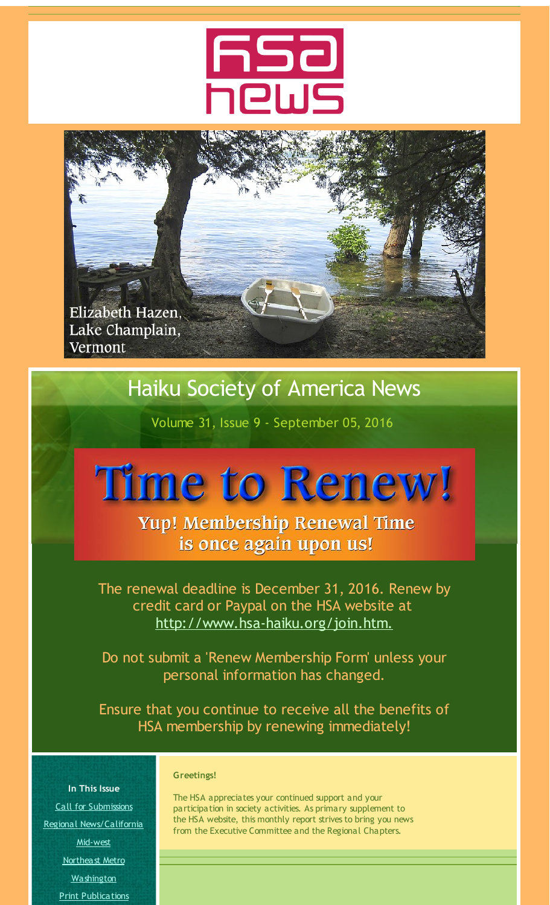

<span id="page-0-0"></span>

# Haiku Society of America News

Volume 31, Issue 9 - September 05, 2016

# **Time to Renew!**

Yup! Membership Renewal Time is once again upon us!

The renewal deadline is December 31, 2016. Renew by credit card or Paypal on the HSA website at [http://www.hsa-haiku.org/join.htm.](http://r20.rs6.net/tn.jsp?f=001nDE0FK3pM61_z5RKZtKwAFPTDH79Z1HlA53AyfGBACCJcmGpFcZst74JtFqa-BeNwkryMl9S_84phvMNcfesbYY7hC6XwbkrFS5jSosu3JLawwh4woBOj7r83aD8scUXMA7cd1t9RFud8jSbMBHJNNMjbN_cMz33Duz_NQJ-sDQfotomLGimPmtxIAsApWMU&c=&ch=)

Do not submit a 'Renew Membership Form' unless your personal information has changed.

Ensure that you continue to receive all the benefits of HSA membership by renewing immediately!

Call for [Submissions](#page-0-0) Regional [News/California](#page-0-0) [Mid-west](#page-0-0) [Northeast](#page-0-0) Metro [Washington](#page-0-0) Print [Publications](#page-0-0)

**In This Issue**

#### **Greetings!**

The HSA appreciates your continued support and your participation in society activities. As primary supplement to the HSA website, this monthly report strives to bring you news from the Executive Committee and the Regional Chapters.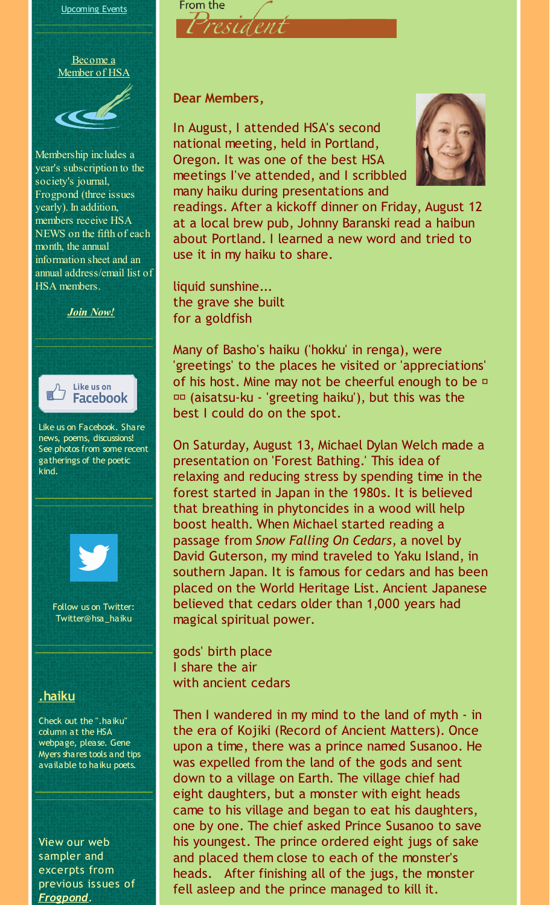

Membership includes a year's subscription to the society's journal, Frogpond (three issues yearly). In addition, members receive HSA NEWS on the fifth of each month, the annual information sheet and an annual address/email list of HSA members.



news, poems, discussions! See photos from some recent gatherings of the poetic kind.



Follow us on Twitter: Twitter@hsa\_haiku

#### **[.haiku](http://r20.rs6.net/tn.jsp?f=001nDE0FK3pM61_z5RKZtKwAFPTDH79Z1HlA53AyfGBACCJcmGpFcZst-MdxSZBkRd4YYOyeL3FAgIAHx6wSChBuAOmZDlM3dIplIeNiTheCrC5KCAw4-vNEeFDla45dbPgCT28WA80BAowk0Fbgt0JJCWBGp1a1BXQz7NLNX2QRr8BQ34kF2uQiKlIwbnmSd0N&c=&ch=)**

Check out the ".haiku" column at the HSA webpage, please. Gene Myers shares tools and tips available to haiku poets.

View our web sampler and excerpts from previous issues of *[Frogpond](http://r20.rs6.net/tn.jsp?f=001nDE0FK3pM61_z5RKZtKwAFPTDH79Z1HlA53AyfGBACCJcmGpFcZst5eNt7dXXSFhkyLLu_cJUbMOjn1WCJIrIay4HAiK20wmsNYorPL-nXLM5FYhOJqYHCYOyR1IGsCOMyd4kS1edGi9T-hcyhU3OlNJQxiH_oMCQEEbgyvpMe8MzpFWFXBNqIV32pkctKaoMo_eXOeI_XxVxD2rzxfHDw==&c=&ch=)*.

#### **Dear Members,**

President

From the

In August, I attended HSA's second national meeting, held in Portland, Oregon. It was one of the best HSA meetings I've attended, and I scribbled many haiku during presentations and



readings. After a kickoff dinner on Friday, August 12 at a local brew pub, Johnny Baranski read a haibun about Portland. I learned a new word and tried to use it in my haiku to share.

liquid sunshine... the grave she built for a goldfish

Many of Basho's haiku ('hokku' in renga), were 'greetings' to the places he visited or 'appreciations' of his host. Mine may not be cheerful enough to be  $\square$  (aisatsu-ku - 'greeting haiku'), but this was the best I could do on the spot.

On Saturday, August 13, Michael Dylan Welch made a presentation on 'Forest Bathing.' This idea of relaxing and reducing stress by spending time in the forest started in Japan in the 1980s. It is believed that breathing in phytoncides in a wood will help boost health. When Michael started reading a passage from *Snow Falling On Cedars*, a novel by David Guterson, my mind traveled to Yaku Island, in southern Japan. It is famous for cedars and has been placed on the World Heritage List. Ancient Japanese believed that cedars older than 1,000 years had magical spiritual power.

gods' birth place I share the air with ancient cedars

Then I wandered in my mind to the land of myth - in the era of Kojiki (Record of Ancient Matters). Once upon a time, there was a prince named Susanoo. He was expelled from the land of the gods and sent down to a village on Earth. The village chief had eight daughters, but a monster with eight heads came to his village and began to eat his daughters, one by one. The chief asked Prince Susanoo to save his youngest. The prince ordered eight jugs of sake and placed them close to each of the monster's heads. After finishing all of the jugs, the monster fell asleep and the prince managed to kill it.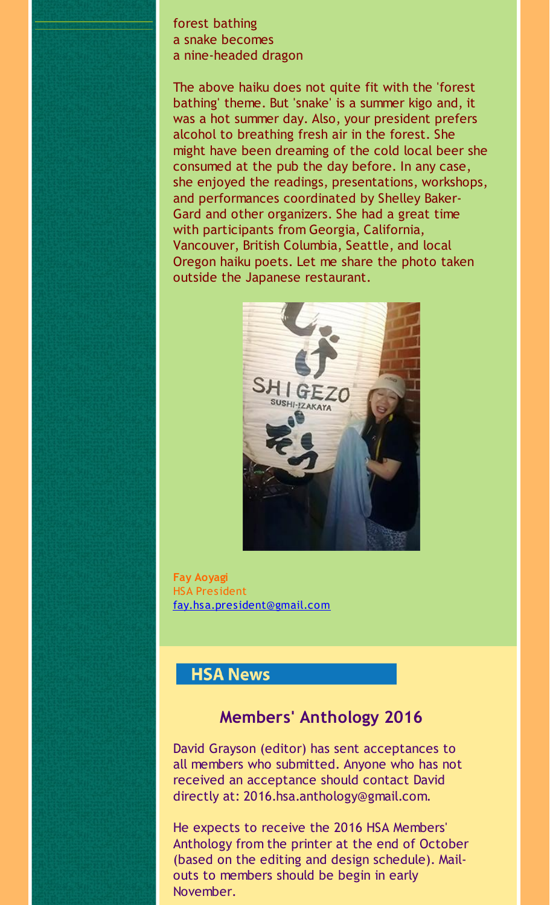forest bathing a snake becomes a nine-headed dragon

The above haiku does not quite fit with the 'forest bathing' theme. But 'snake' is a summer kigo and, it was a hot summer day. Also, your president prefers alcohol to breathing fresh air in the forest. She might have been dreaming of the cold local beer she consumed at the pub the day before. In any case, she enjoyed the readings, presentations, workshops, and performances coordinated by Shelley Baker-Gard and other organizers. She had a great time with participants from Georgia, California, Vancouver, British Columbia, Seattle, and local Oregon haiku poets. Let me share the photo taken outside the Japanese restaurant.



**Fay Aoyagi** HSA President [fay.hsa.president@gmail.com](mailto:fay.hsa.president@gmail.com)

#### **HSA News**

# **Members' Anthology 2016**

David Grayson (editor) has sent acceptances to all members who submitted. Anyone who has not received an acceptance should contact David directly at: 2016.hsa.anthology@gmail.com.

He expects to receive the 2016 HSA Members' Anthology from the printer at the end of October (based on the editing and design schedule). Mailouts to members should be begin in early November.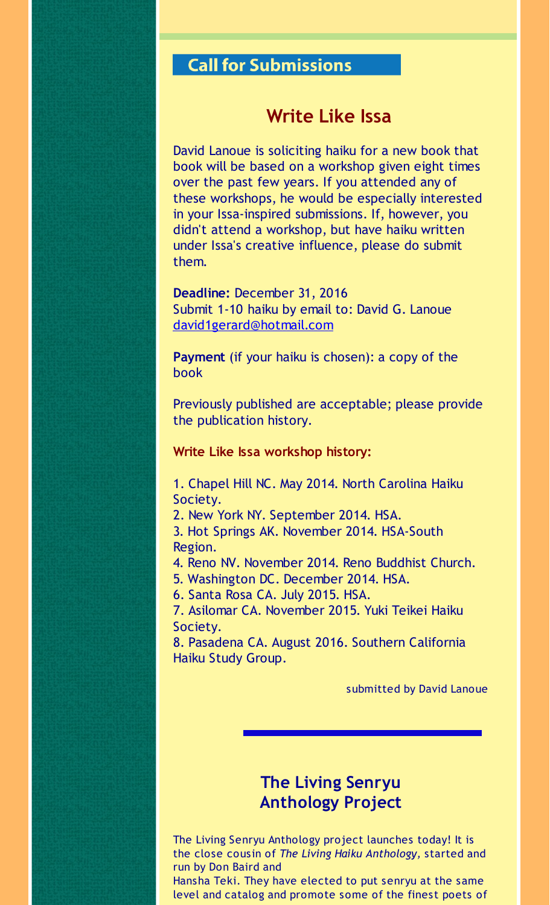# **Call for Submissions**

#### **Write Like Issa**

David Lanoue is soliciting haiku for a new book that book will be based on a workshop given eight times over the past few years. If you attended any of these workshops, he would be especially interested in your Issa-inspired submissions. If, however, you didn't attend a workshop, but have haiku written under Issa's creative influence, please do submit them.

**Deadline:** December 31, 2016 Submit 1-10 haiku by email to: David G. Lanoue [david1gerard@hotmail.com](mailto:david1gerard@hotmail.com)

**Payment** (if your haiku is chosen): a copy of the book

Previously published are acceptable; please provide the publication history.

#### **Write Like Issa workshop history:**

1. Chapel Hill NC. May 2014. North Carolina Haiku Society.

2. New York NY. September 2014. HSA.

3. Hot Springs AK. November 2014. HSA-South Region.

4. Reno NV. November 2014. Reno Buddhist Church.

5. Washington DC. December 2014. HSA.

6. Santa Rosa CA. July 2015. HSA.

7. Asilomar CA. November 2015. Yuki Teikei Haiku Society.

8. Pasadena CA. August 2016. Southern California Haiku Study Group.

submitted by David Lanoue

### **The Living Senryu Anthology Project**

The Living Senryu Anthology project launches today! It is the close cousin of *The Living Haiku Anthology,* started and run by Don Baird and

Hansha Teki. They have elected to put senryu at the same level and catalog and promote some of the finest poets of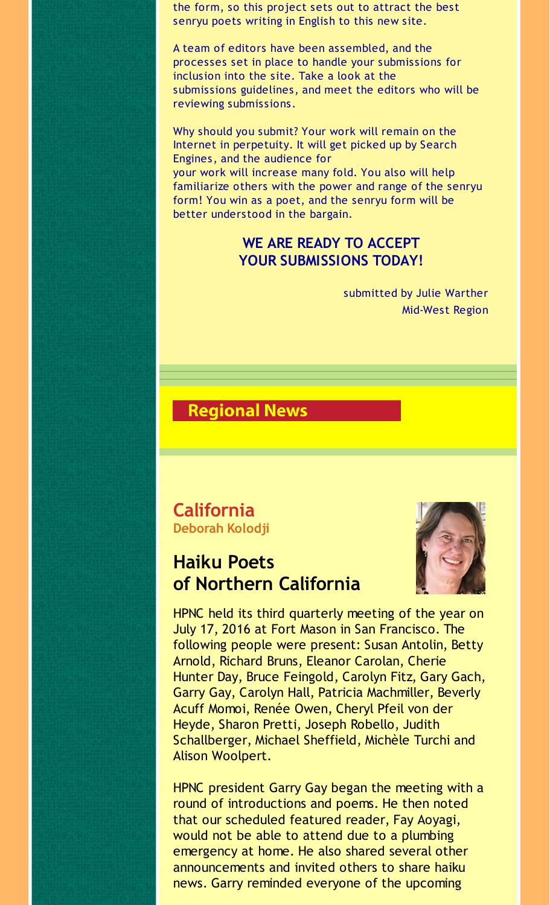the form, so this project sets out to attract the best senryu poets writing in English to this new site.

A team of editors have been assembled, and the processes set in place to handle your submissions for inclusion into the site. Take a look at the submissions guidelines, and meet the editors who will be reviewing submissions.

Why should you submit? Your work will remain on the Internet in perpetuity. It will get picked up by Search Engines, and the audience for your work will increase many fold. You also will help familiarize others with the power and range of the senryu form! You win as a poet, and the senryu form will be better understood in the bargain.

#### **WE ARE READY TO ACCEPT YOUR SUBMISSIONS TODAY!**

submitted by Julie Warther Mid-West Region

#### **Regional News**

#### **California Deborah Kolodji**

# **Haiku Poets of Northern California**



HPNC held its third quarterly meeting of the year on July 17, 2016 at Fort Mason in San Francisco. The following people were present: Susan Antolin, Betty Arnold, Richard Bruns, Eleanor Carolan, Cherie Hunter Day, Bruce Feingold, Carolyn Fitz, Gary Gach, Garry Gay, Carolyn Hall, Patricia Machmiller, Beverly Acuff Momoi, Renée Owen, Cheryl Pfeil von der Heyde, Sharon Pretti, Joseph Robello, Judith Schallberger, Michael Sheffield, Michèle Turchi and Alison Woolpert.

HPNC president Garry Gay began the meeting with a round of introductions and poems. He then noted that our scheduled featured reader, Fay Aoyagi, would not be able to attend due to a plumbing emergency at home. He also shared several other announcements and invited others to share haiku news. Garry reminded everyone of the upcoming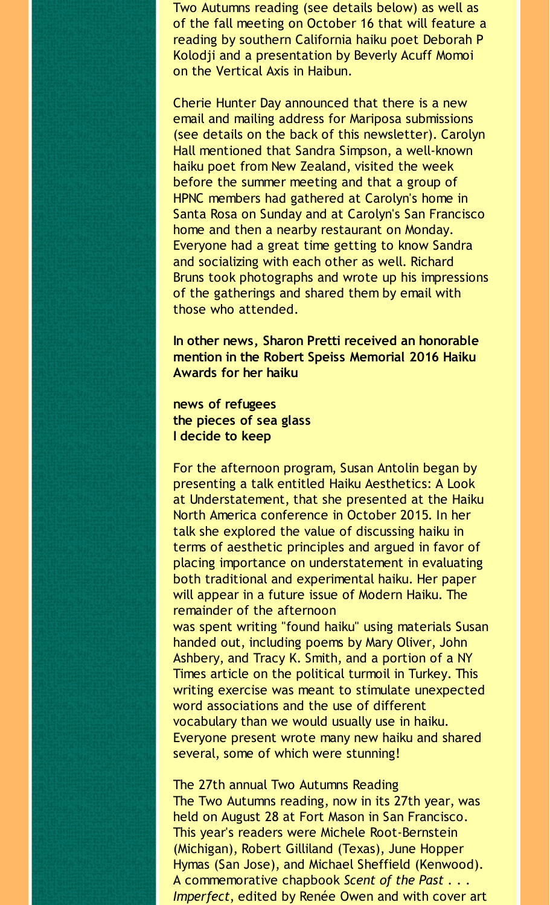Two Autumns reading (see details below) as well as of the fall meeting on October 16 that will feature a reading by southern California haiku poet Deborah P Kolodji and a presentation by Beverly Acuff Momoi on the Vertical Axis in Haibun.

Cherie Hunter Day announced that there is a new email and mailing address for Mariposa submissions (see details on the back of this newsletter). Carolyn Hall mentioned that Sandra Simpson, a well-known haiku poet from New Zealand, visited the week before the summer meeting and that a group of HPNC members had gathered at Carolyn's home in Santa Rosa on Sunday and at Carolyn's San Francisco home and then a nearby restaurant on Monday. Everyone had a great time getting to know Sandra and socializing with each other as well. Richard Bruns took photographs and wrote up his impressions of the gatherings and shared them by email with those who attended.

**In other news, Sharon Pretti received an honorable mention in the Robert Speiss Memorial 2016 Haiku Awards for her haiku**

**news of refugees the pieces of sea glass I decide to keep**

For the afternoon program, Susan Antolin began by presenting a talk entitled Haiku Aesthetics: A Look at Understatement, that she presented at the Haiku North America conference in October 2015. In her talk she explored the value of discussing haiku in terms of aesthetic principles and argued in favor of placing importance on understatement in evaluating both traditional and experimental haiku. Her paper will appear in a future issue of Modern Haiku. The remainder of the afternoon

was spent writing "found haiku" using materials Susan handed out, including poems by Mary Oliver, John Ashbery, and Tracy K. Smith, and a portion of a NY Times article on the political turmoil in Turkey. This writing exercise was meant to stimulate unexpected word associations and the use of different vocabulary than we would usually use in haiku. Everyone present wrote many new haiku and shared several, some of which were stunning!

The 27th annual Two Autumns Reading

The Two Autumns reading, now in its 27th year, was held on August 28 at Fort Mason in San Francisco. This year's readers were Michele Root-Bernstein (Michigan), Robert Gilliland (Texas), June Hopper Hymas (San Jose), and Michael Sheffield (Kenwood). A commemorative chapbook *Scent of the Past . . . Imperfect*, edited by Renée Owen and with cover art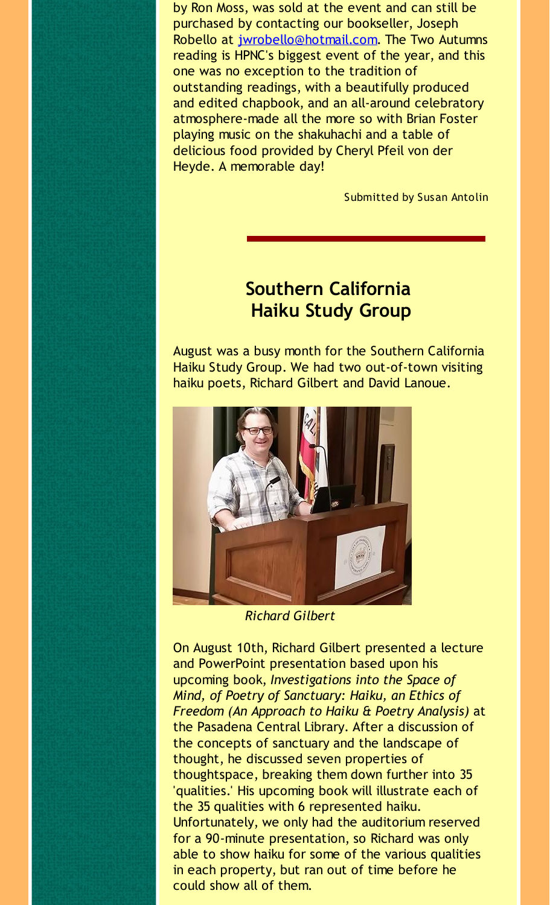by Ron Moss, was sold at the event and can still be purchased by contacting our bookseller, Joseph Robello at [jwrobello@hotmail.com](mailto:jwrobello@hotmail.com). The Two Autumns reading is HPNC's biggest event of the year, and this one was no exception to the tradition of outstanding readings, with a beautifully produced and edited chapbook, and an all-around celebratory atmosphere-made all the more so with Brian Foster playing music on the shakuhachi and a table of delicious food provided by Cheryl Pfeil von der Heyde. A memorable day!

Submitted by Susan Antolin

# **Southern California Haiku Study Group**

August was a busy month for the Southern California Haiku Study Group. We had two out-of-town visiting haiku poets, Richard Gilbert and David Lanoue.



*Richard Gilbert*

On August 10th, Richard Gilbert presented a lecture and PowerPoint presentation based upon his upcoming book, *Investigations into the Space of Mind, of Poetry of Sanctuary: Haiku, an Ethics of Freedom (An Approach to Haiku & Poetry Analysis)* at the Pasadena Central Library. After a discussion of the concepts of sanctuary and the landscape of thought, he discussed seven properties of thoughtspace, breaking them down further into 35 'qualities.' His upcoming book will illustrate each of the 35 qualities with 6 represented haiku. Unfortunately, we only had the auditorium reserved for a 90-minute presentation, so Richard was only able to show haiku for some of the various qualities in each property, but ran out of time before he could show all of them.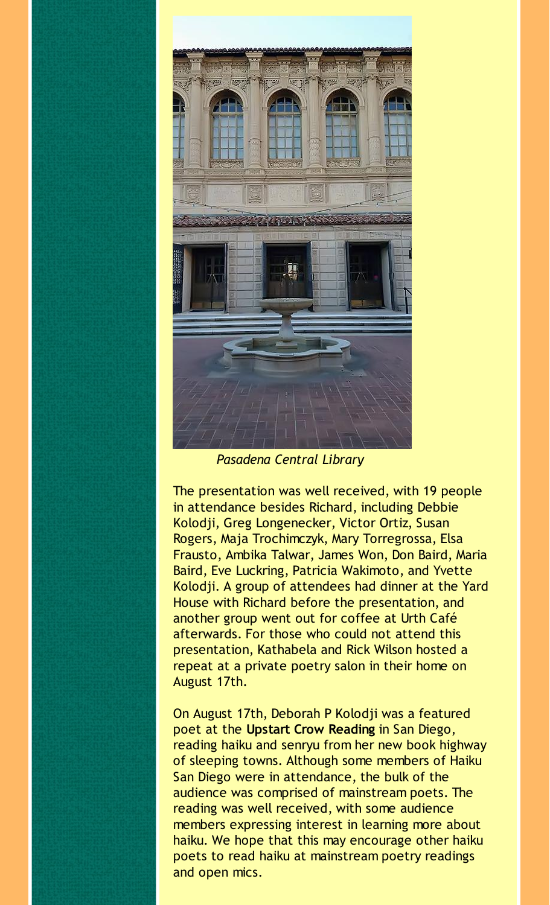

*Pasadena Central Library*

The presentation was well received, with 19 people in attendance besides Richard, including Debbie Kolodji, Greg Longenecker, Victor Ortiz, Susan Rogers, Maja Trochimczyk, Mary Torregrossa, Elsa Frausto, Ambika Talwar, James Won, Don Baird, Maria Baird, Eve Luckring, Patricia Wakimoto, and Yvette Kolodji. A group of attendees had dinner at the Yard House with Richard before the presentation, and another group went out for coffee at Urth Café afterwards. For those who could not attend this presentation, Kathabela and Rick Wilson hosted a repeat at a private poetry salon in their home on August 17th.

On August 17th, Deborah P Kolodji was a featured poet at the **Upstart Crow Reading** in San Diego, reading haiku and senryu from her new book highway of sleeping towns. Although some members of Haiku San Diego were in attendance, the bulk of the audience was comprised of mainstream poets. The reading was well received, with some audience members expressing interest in learning more about haiku. We hope that this may encourage other haiku poets to read haiku at mainstream poetry readings and open mics.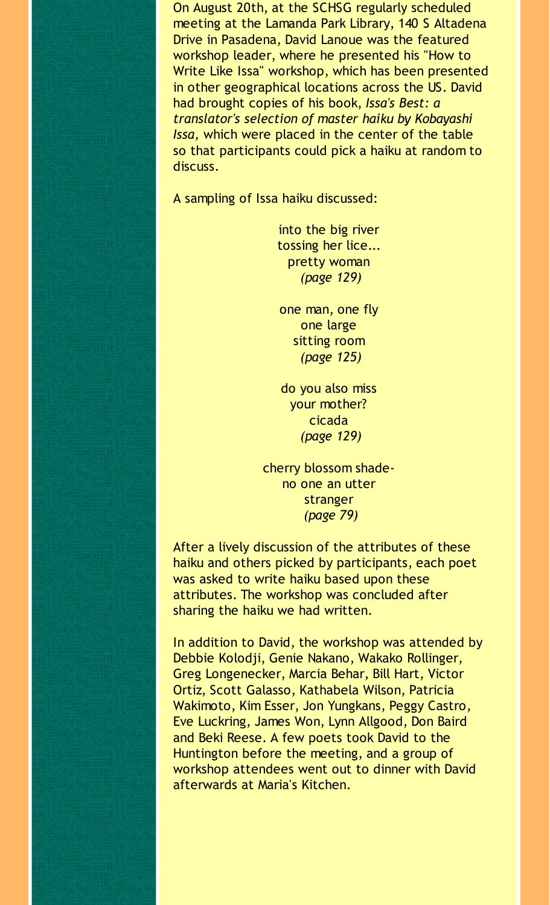On August 20th, at the SCHSG regularly scheduled meeting at the Lamanda Park Library, 140 S Altadena Drive in Pasadena, David Lanoue was the featured workshop leader, where he presented his "How to Write Like Issa" workshop, which has been presented in other geographical locations across the US. David had brought copies of his book, *Issa's Best: a translator's selection of master haiku by Kobayashi Issa,* which were placed in the center of the table so that participants could pick a haiku at random to discuss.

A sampling of Issa haiku discussed:

into the big river tossing her lice... pretty woman *(page 129)*

one man, one fly one large sitting room *(page 125)*

do you also miss your mother? cicada *(page 129)*

cherry blossom shadeno one an utter stranger *(page 79)*

After a lively discussion of the attributes of these haiku and others picked by participants, each poet was asked to write haiku based upon these attributes. The workshop was concluded after sharing the haiku we had written.

In addition to David, the workshop was attended by Debbie Kolodji, Genie Nakano, Wakako Rollinger, Greg Longenecker, Marcia Behar, Bill Hart, Victor Ortiz, Scott Galasso, Kathabela Wilson, Patricia Wakimoto, Kim Esser, Jon Yungkans, Peggy Castro, Eve Luckring, James Won, Lynn Allgood, Don Baird and Beki Reese. A few poets took David to the Huntington before the meeting, and a group of workshop attendees went out to dinner with David afterwards at Maria's Kitchen.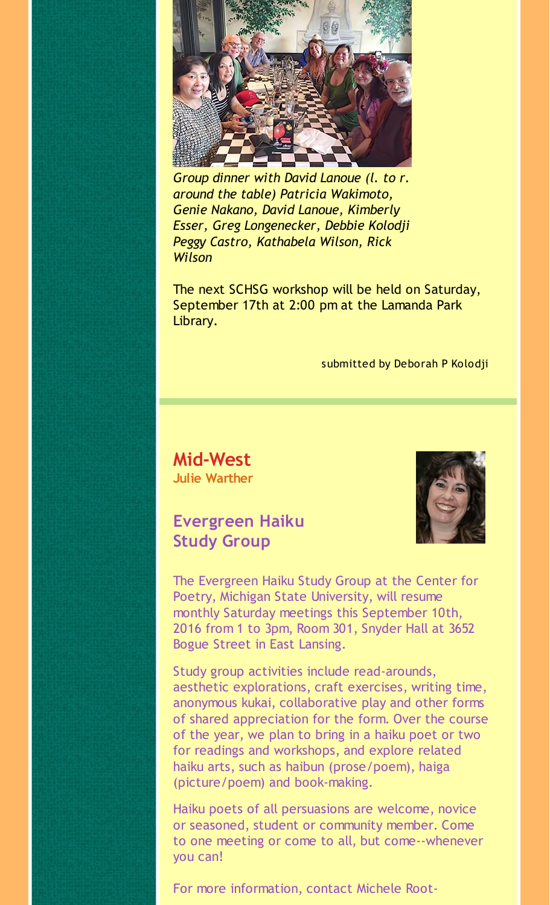

*Group dinner with David Lanoue (l. to r. around the table) Patricia Wakimoto, Genie Nakano, David Lanoue, Kimberly Esser, Greg Longenecker, Debbie Kolodji Peggy Castro, Kathabela Wilson, Rick Wilson*

The next SCHSG workshop will be held on Saturday, September 17th at 2:00 pm at the Lamanda Park Library.

#### submitted by Deborah P Kolodji

**Mid-West Julie Warther**

#### **Evergreen Haiku Study Group**



The Evergreen Haiku Study Group at the Center for Poetry, Michigan State University, will resume monthly Saturday meetings this September 10th, 2016 from 1 to 3pm, Room 301, Snyder Hall at 3652 Bogue Street in East Lansing.

Study group activities include read-arounds, aesthetic explorations, craft exercises, writing time, anonymous kukai, collaborative play and other forms of shared appreciation for the form. Over the course of the year, we plan to bring in a haiku poet or two for readings and workshops, and explore related haiku arts, such as haibun (prose/poem), haiga (picture/poem) and book-making.

Haiku poets of all persuasions are welcome, novice or seasoned, student or community member. Come to one meeting or come to all, but come--whenever you can!

For more information, contact Michele Root-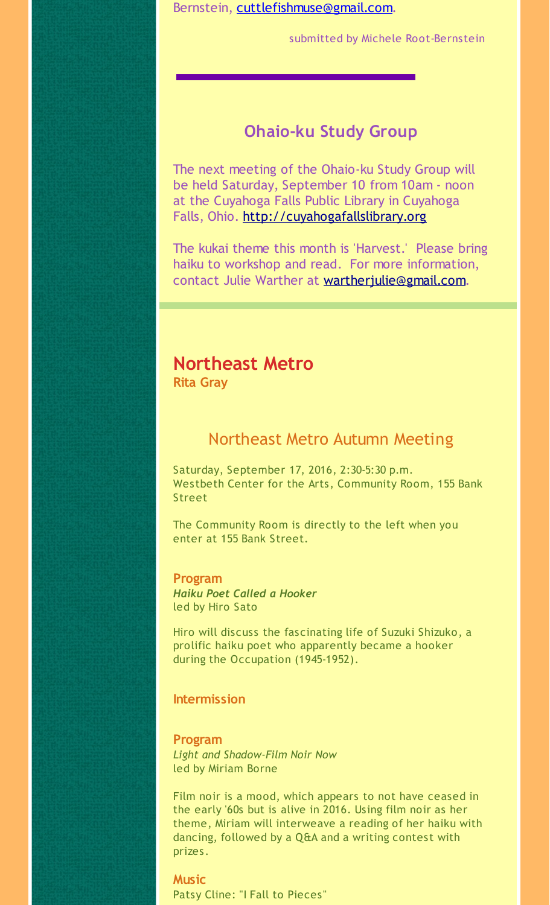Bernstein, [cuttlefishmuse@gmail.com](mailto:cuttlefishmuse@gmail.com).

submitted by Michele Root-Bernstein

#### **Ohaio-ku Study Group**

The next meeting of the Ohaio-ku Study Group will be held Saturday, September 10 from 10am - noon at the Cuyahoga Falls Public Library in Cuyahoga Falls, Ohio. [http://cuyahogafallslibrary.org](http://r20.rs6.net/tn.jsp?f=001nDE0FK3pM61_z5RKZtKwAFPTDH79Z1HlA53AyfGBACCJcmGpFcZst6C-doMzN_ZVYvvuWjZPo0O7vkHyGu6RxhYM6LbVcrq3MZ07qPJKFYVjUms6OCuaDn7DZdfVi23mexWEfTMfqPWPBCditpzIQY-bNj46hKPzUNbCw4YRVPozgsA_lv_FNbK-7HW0t9oo&c=&ch=)

The kukai theme this month is 'Harvest.' Please bring haiku to workshop and read. For more information, contact Julie Warther at [wartherjulie@gmail.com](mailto:wartherjulie@gmail.com).

#### **Northeast Metro**

**Rita Gray**

#### Northeast Metro Autumn Meeting

Saturday, September 17, 2016, 2:30-5:30 p.m. Westbeth Center for the Arts, Community Room, 155 Bank Street

The Community Room is directly to the left when you enter at 155 Bank Street.

#### **Program**

*Haiku Poet Called a Hooker* led by Hiro Sato

Hiro will discuss the fascinating life of Suzuki Shizuko, a prolific haiku poet who apparently became a hooker during the Occupation (1945-1952).

#### **Intermission**

**Program** *Light and Shadow-Film Noir Now* led by Miriam Borne

Film noir is a mood, which appears to not have ceased in the early '60s but is alive in 2016. Using film noir as her theme, Miriam will interweave a reading of her haiku with dancing, followed by a Q&A and a writing contest with prizes.

**Music** Patsy Cline: "I Fall to Pieces"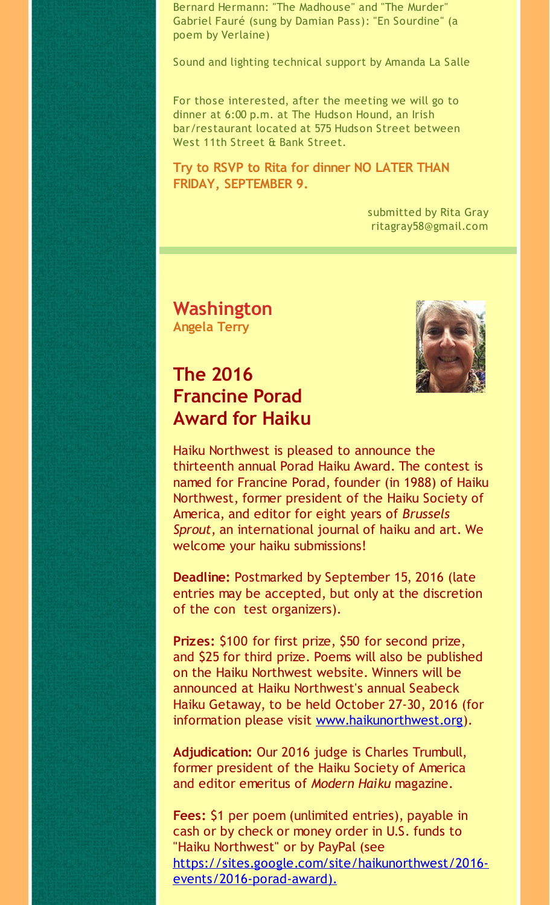Bernard Hermann: "The Madhouse" and "The Murder" Gabriel Fauré (sung by Damian Pass): "En Sourdine" (a poem by Verlaine)

Sound and lighting technical support by Amanda La Salle

For those interested, after the meeting we will go to dinner at 6:00 p.m. at The Hudson Hound, an Irish bar/restaurant located at 575 Hudson Street between West 11th Street & Bank Street.

**Try to RSVP to Rita for dinner NO LATER THAN FRIDAY, SEPTEMBER 9.**

> submitted by Rita Gray ritagray58@gmail.com

**Washington Angela Terry**

# **The 2016 Francine Porad Award for Haiku**



Haiku Northwest is pleased to announce the thirteenth annual Porad Haiku Award. The contest is named for Francine Porad, founder (in 1988) of Haiku Northwest, former president of the Haiku Society of America, and editor for eight years of *Brussels Sprout*, an international journal of haiku and art. We welcome your haiku submissions!

**Deadline:** Postmarked by September 15, 2016 (late entries may be accepted, but only at the discretion of the con test organizers).

**Prizes:** \$100 for first prize, \$50 for second prize, and \$25 for third prize. Poems will also be published on the Haiku Northwest website. Winners will be announced at Haiku Northwest's annual Seabeck Haiku Getaway, to be held October 27-30, 2016 (for information please visit [www.haikunorthwest.org](http://r20.rs6.net/tn.jsp?f=001nDE0FK3pM61_z5RKZtKwAFPTDH79Z1HlA53AyfGBACCJcmGpFcZst4H0mHoNXY27GDaWeNcRo5pKxjIh-fk2HIyrlYrRm5MkTGLaApwGI8kI5Pxu4XPk_2cYbcup9b2GFeY6T4BIy0-qKpDrXrUp2DHI8wvIsibsIKZMlcfW5pRvgo8O9rBeJg==&c=&ch=)).

**Adjudication:** Our 2016 judge is Charles Trumbull, former president of the Haiku Society of America and editor emeritus of *Modern Haiku* magazine.

**Fees:** \$1 per poem (unlimited entries), payable in cash or by check or money order in U.S. funds to "Haiku Northwest" or by PayPal (see [https://sites.google.com/site/haikunorthwest/2016](http://r20.rs6.net/tn.jsp?f=001nDE0FK3pM61_z5RKZtKwAFPTDH79Z1HlA53AyfGBACCJcmGpFcZst6C-doMzN_ZVjnEQnuAkl_iiTWw4VlRT2uCUnRrN-tdpgKK9x3FoKUfm97R1-UNSjuhyEv8bd70hveYOodw1Hp0LgOH1F7-d1LWBzZ8dguIO_j9B3q48_pHCgNcgBpNilBfpp3fWfbmD84fz4m89xAWQbouBlCitnMThhceGCn6ZCx-Xf4A3kdOfbHCEpKb45CVvHmX9090D&c=&ch=) events/2016-porad-award).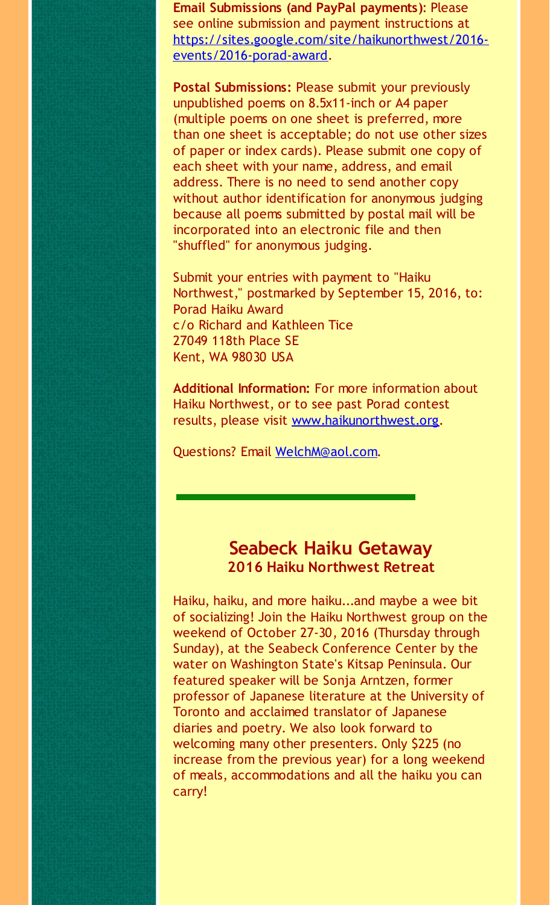**Email Submissions (and PayPal payments)**: Please see online submission and payment instructions at [https://sites.google.com/site/haikunorthwest/2016](http://r20.rs6.net/tn.jsp?f=001nDE0FK3pM61_z5RKZtKwAFPTDH79Z1HlA53AyfGBACCJcmGpFcZst5ug2Js9Sy4A2eU9UBy-oKsohJXDJWZJU4OpDrBiQESR-ApdeDvJwFevmabqBQp0NmqR0UtOfZXydb88BOklCNFJehunsXkzSFg6bpGzdZDtG4_zRrM43lAod_OuwRCPrmiW60rzUsay84tGroTixTzY9Z8MDQrs0Tem9lhMI5SnXRie17ooHui6uvzyDixfEQ==&c=&ch=) events/2016-porad-award.

**Postal Submissions:** Please submit your previously unpublished poems on 8.5x11-inch or A4 paper (multiple poems on one sheet is preferred, more than one sheet is acceptable; do not use other sizes of paper or index cards). Please submit one copy of each sheet with your name, address, and email address. There is no need to send another copy without author identification for anonymous judging because all poems submitted by postal mail will be incorporated into an electronic file and then "shuffled" for anonymous judging.

Submit your entries with payment to "Haiku Northwest," postmarked by September 15, 2016, to: Porad Haiku Award c/o Richard and Kathleen Tice 27049 118th Place SE Kent, WA 98030 USA

**Additional Information:** For more information about Haiku Northwest, or to see past Porad contest results, please visit [www.haikunorthwest.org](http://r20.rs6.net/tn.jsp?f=001nDE0FK3pM61_z5RKZtKwAFPTDH79Z1HlA53AyfGBACCJcmGpFcZst6C-doMzN_ZViYnA5C6-EUkpFAjSS2w9ks3KabxEMQno0x594L8Jc4spfMBQtGhowZPplk_DW1JL4D5HNL1k0pWWxLOAj6FyUHajg6dM1hdt8iapbzgDcP4vf48iwGPKa2-jdd2gWSwe&c=&ch=).

Questions? Email [WelchM@aol.com](mailto:WelchM@aol.com).

#### **Seabeck Haiku Getaway 2016 Haiku Northwest Retreat**

Haiku, haiku, and more haiku...and maybe a wee bit of socializing! Join the Haiku Northwest group on the weekend of October 27-30, 2016 (Thursday through Sunday), at the Seabeck Conference Center by the water on Washington State's Kitsap Peninsula. Our featured speaker will be Sonja Arntzen, former professor of Japanese literature at the University of Toronto and acclaimed translator of Japanese diaries and poetry. We also look forward to welcoming many other presenters. Only \$225 (no increase from the previous year) for a long weekend of meals, accommodations and all the haiku you can carry!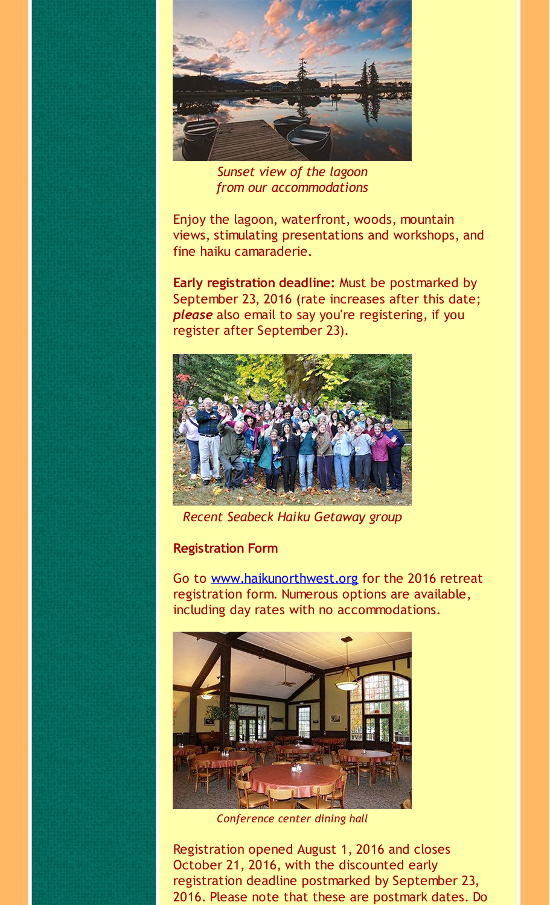

*Sunset view of the lagoon from our accommodations*

Enjoy the lagoon, waterfront, woods, mountain views, stimulating presentations and workshops, and fine haiku camaraderie.

**Early registration deadline:** Must be postmarked by September 23, 2016 (rate increases after this date; *please* also email to say you're registering, if you register after September 23).



*Recent Seabeck Haiku Getaway group*

#### **Registration Form**

Go to [www.haikunorthwest.org](http://r20.rs6.net/tn.jsp?f=001nDE0FK3pM61_z5RKZtKwAFPTDH79Z1HlA53AyfGBACCJcmGpFcZst0mPmZTQh3XxwmD2uyJqdoJmeOqYiypz76igl9GnTRx3YeH-Lhpx21Vv1IhmxZhTouSzrfHp82EIrBp42c7ZaoZSV0ycP_Envxv_2oLORCp9_a1rZt3uxuriZy3flSoLnTyUewSL14ink_FaR2rdVWo=&c=&ch=) for the 2016 retreat registration form. Numerous options are available, including day rates with no accommodations.



*Conference center dining hall*

Registration opened August 1, 2016 and closes October 21, 2016, with the discounted early registration deadline postmarked by September 23, 2016. Please note that these are postmark dates. Do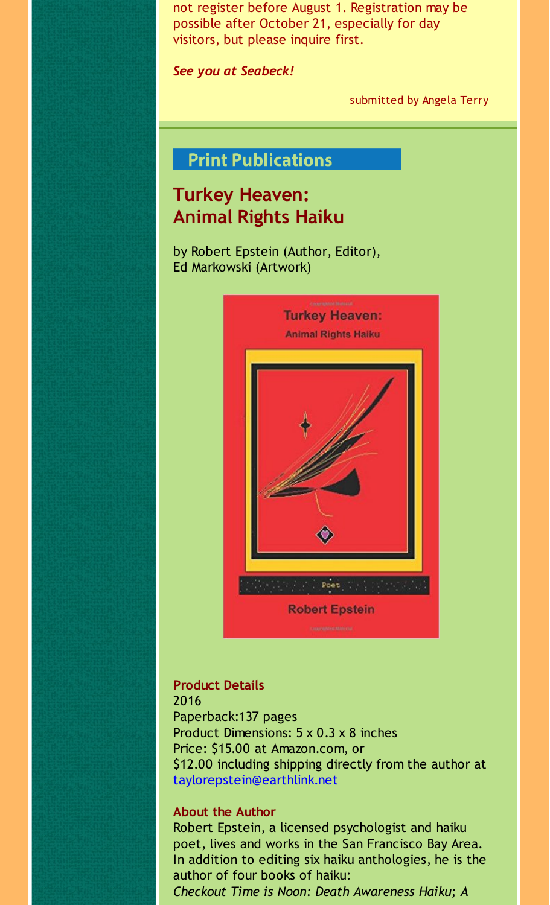not register before August 1. Registration may be possible after October 21, especially for day visitors, but please inquire first.

*See you at Seabeck!*

submitted by Angela Terry

# **Print Publications**

# **Turkey Heaven: Animal Rights Haiku**

by Robert Epstein (Author, Editor), Ed Markowski (Artwork)



#### **Product Details**

2016 Paperback:137 pages Product Dimensions: 5 x 0.3 x 8 inches Price: \$15.00 at Amazon.com, or \$12.00 including shipping directly from the author at [taylorepstein@earthlink.net](mailto:taylorepstein@earthlink.net)

#### **About the Author**

Robert Epstein, a licensed psychologist and haiku poet, lives and works in the San Francisco Bay Area. In addition to editing six haiku anthologies, he is the author of four books of haiku: *Checkout Time is Noon: Death Awareness Haiku; A*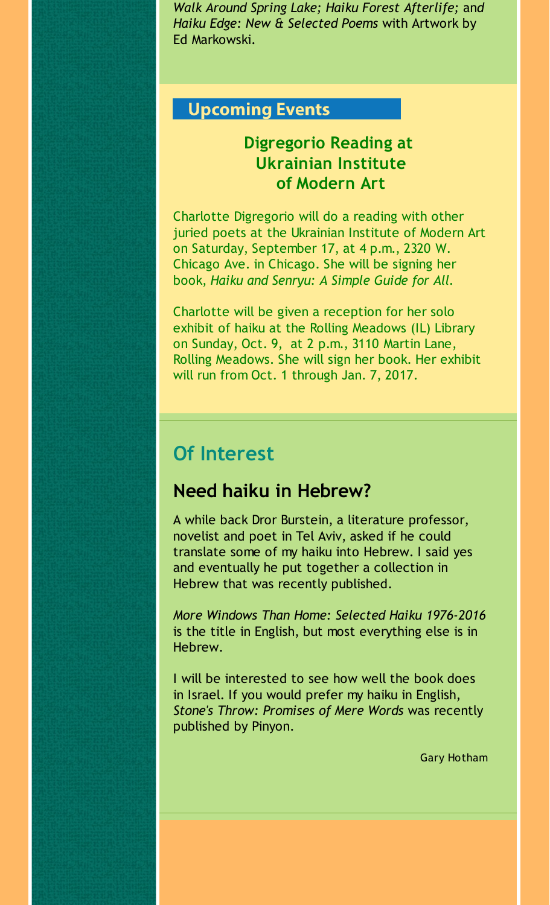*Walk Around Spring Lake; Haiku Forest Afterlife;* an*d Haiku Edge: New & Selected Poems* with Artwork by Ed Markowski.

#### **Upcoming Events**

# **Digregorio Reading at Ukrainian Institute of Modern Art**

Charlotte Digregorio will do a reading with other juried poets at the Ukrainian Institute of Modern Art on Saturday, September 17, at 4 p.m., 2320 W. Chicago Ave. in Chicago. She will be signing her book, *Haiku and Senryu: A Simple Guide for All.*

Charlotte will be given a reception for her solo exhibit of haiku at the Rolling Meadows (IL) Library on Sunday, Oct. 9, at 2 p.m., 3110 Martin Lane, Rolling Meadows. She will sign her book. Her exhibit will run from Oct. 1 through Jan. 7, 2017.

# **Of Interest**

# **Need haiku in Hebrew?**

A while back Dror Burstein, a literature professor, novelist and poet in Tel Aviv, asked if he could translate some of my haiku into Hebrew. I said yes and eventually he put together a collection in Hebrew that was recently published.

*More Windows Than Home: Selected Haiku 1976-2016* is the title in English, but most everything else is in Hebrew.

I will be interested to see how well the book does in Israel. If you would prefer my haiku in English, *Stone's Throw: Promises of Mere Words* was recently published by Pinyon.

Gary Hotham